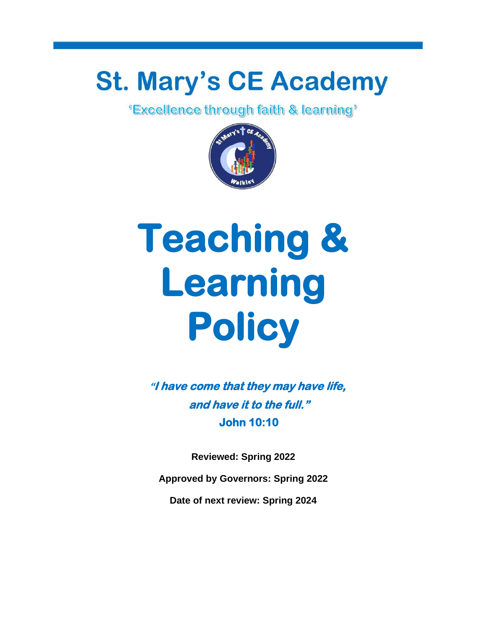# **St. Mary's CE Academy**<br>**Excellence through faith & learning**<sup>\*</sup>



## **Teaching & Learning Policy**

**"I have come that they may have life, and have it to the full." John 10:10** 

**Reviewed: Spring 2022**

**Approved by Governors: Spring 2022**

**Date of next review: Spring 2024**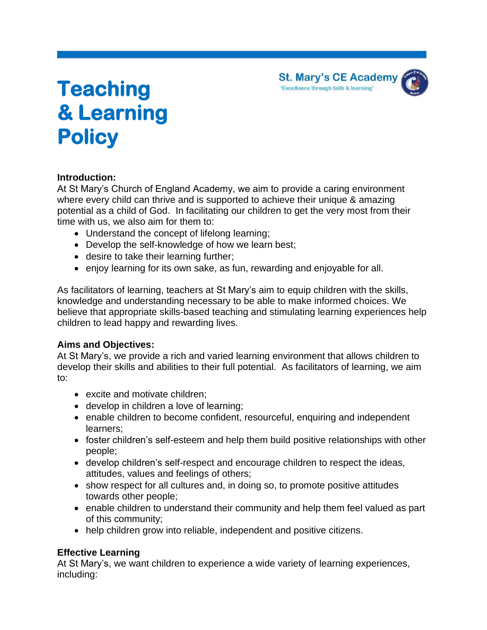**St. Mary's CE Academy** 'Excellence through faith & learning'

### **Teaching & Learning Policy**

#### **Introduction:**

At St Mary's Church of England Academy, we aim to provide a caring environment where every child can thrive and is supported to achieve their unique & amazing potential as a child of God. In facilitating our children to get the very most from their time with us, we also aim for them to:

- Understand the concept of lifelong learning;
- Develop the self-knowledge of how we learn best;
- desire to take their learning further;
- enjoy learning for its own sake, as fun, rewarding and enjoyable for all.

As facilitators of learning, teachers at St Mary's aim to equip children with the skills, knowledge and understanding necessary to be able to make informed choices. We believe that appropriate skills-based teaching and stimulating learning experiences help children to lead happy and rewarding lives.

#### **Aims and Objectives:**

At St Mary's, we provide a rich and varied learning environment that allows children to develop their skills and abilities to their full potential. As facilitators of learning, we aim to:

- excite and motivate children;
- develop in children a love of learning;
- enable children to become confident, resourceful, enquiring and independent learners;
- foster children's self-esteem and help them build positive relationships with other people;
- develop children's self-respect and encourage children to respect the ideas, attitudes, values and feelings of others;
- show respect for all cultures and, in doing so, to promote positive attitudes towards other people;
- enable children to understand their community and help them feel valued as part of this community;
- help children grow into reliable, independent and positive citizens.

#### **Effective Learning**

At St Mary's, we want children to experience a wide variety of learning experiences, including: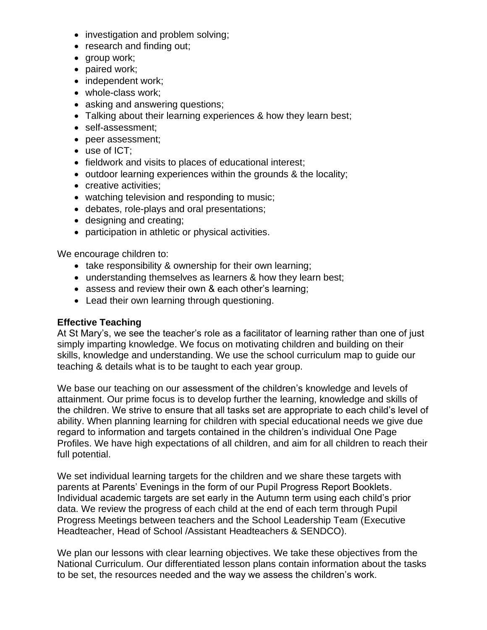- investigation and problem solving;
- research and finding out;
- group work;
- paired work;
- independent work;
- whole-class work:
- asking and answering questions;
- Talking about their learning experiences & how they learn best;
- self-assessment;
- peer assessment;
- use of ICT;
- fieldwork and visits to places of educational interest;
- outdoor learning experiences within the grounds & the locality;
- creative activities;
- watching television and responding to music;
- debates, role-plays and oral presentations;
- designing and creating;
- participation in athletic or physical activities.

We encourage children to:

- take responsibility & ownership for their own learning;
- understanding themselves as learners & how they learn best;
- assess and review their own & each other's learning;
- Lead their own learning through questioning.

#### **Effective Teaching**

At St Mary's, we see the teacher's role as a facilitator of learning rather than one of just simply imparting knowledge. We focus on motivating children and building on their skills, knowledge and understanding. We use the school curriculum map to guide our teaching & details what is to be taught to each year group.

We base our teaching on our assessment of the children's knowledge and levels of attainment. Our prime focus is to develop further the learning, knowledge and skills of the children. We strive to ensure that all tasks set are appropriate to each child's level of ability. When planning learning for children with special educational needs we give due regard to information and targets contained in the children's individual One Page Profiles. We have high expectations of all children, and aim for all children to reach their full potential.

We set individual learning targets for the children and we share these targets with parents at Parents' Evenings in the form of our Pupil Progress Report Booklets. Individual academic targets are set early in the Autumn term using each child's prior data. We review the progress of each child at the end of each term through Pupil Progress Meetings between teachers and the School Leadership Team (Executive Headteacher, Head of School /Assistant Headteachers & SENDCO).

We plan our lessons with clear learning objectives. We take these objectives from the National Curriculum. Our differentiated lesson plans contain information about the tasks to be set, the resources needed and the way we assess the children's work.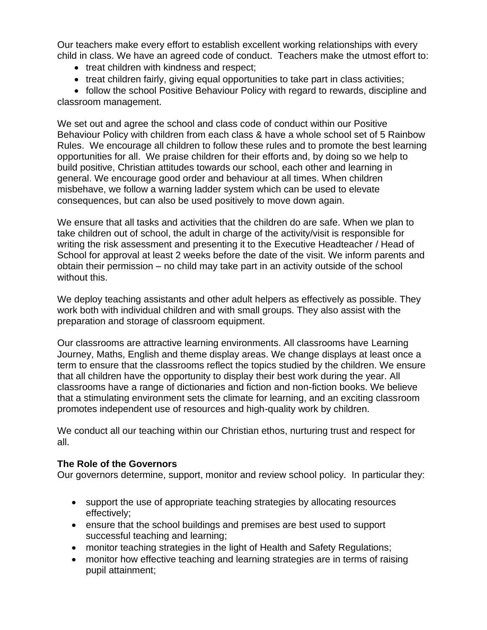Our teachers make every effort to establish excellent working relationships with every child in class. We have an agreed code of conduct. Teachers make the utmost effort to:

- treat children with kindness and respect;
- treat children fairly, giving equal opportunities to take part in class activities;

• follow the school Positive Behaviour Policy with regard to rewards, discipline and classroom management.

We set out and agree the school and class code of conduct within our Positive Behaviour Policy with children from each class & have a whole school set of 5 Rainbow Rules. We encourage all children to follow these rules and to promote the best learning opportunities for all. We praise children for their efforts and, by doing so we help to build positive, Christian attitudes towards our school, each other and learning in general. We encourage good order and behaviour at all times. When children misbehave, we follow a warning ladder system which can be used to elevate consequences, but can also be used positively to move down again.

We ensure that all tasks and activities that the children do are safe. When we plan to take children out of school, the adult in charge of the activity/visit is responsible for writing the risk assessment and presenting it to the Executive Headteacher / Head of School for approval at least 2 weeks before the date of the visit. We inform parents and obtain their permission – no child may take part in an activity outside of the school without this.

We deploy teaching assistants and other adult helpers as effectively as possible. They work both with individual children and with small groups. They also assist with the preparation and storage of classroom equipment.

Our classrooms are attractive learning environments. All classrooms have Learning Journey, Maths, English and theme display areas. We change displays at least once a term to ensure that the classrooms reflect the topics studied by the children. We ensure that all children have the opportunity to display their best work during the year. All classrooms have a range of dictionaries and fiction and non-fiction books. We believe that a stimulating environment sets the climate for learning, and an exciting classroom promotes independent use of resources and high-quality work by children.

We conduct all our teaching within our Christian ethos, nurturing trust and respect for all.

#### **The Role of the Governors**

Our governors determine, support, monitor and review school policy. In particular they:

- support the use of appropriate teaching strategies by allocating resources effectively;
- ensure that the school buildings and premises are best used to support successful teaching and learning;
- monitor teaching strategies in the light of Health and Safety Regulations;
- monitor how effective teaching and learning strategies are in terms of raising pupil attainment;